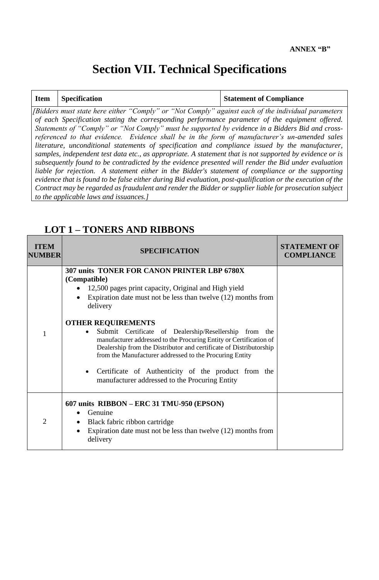### **Section VII. Technical Specifications**

| <b>Item</b> Specification | <b>Statement of Compliance</b> |
|---------------------------|--------------------------------|
|                           |                                |

*[Bidders must state here either "Comply" or "Not Comply" against each of the individual parameters of each Specification stating the corresponding performance parameter of the equipment offered. Statements of "Comply" or "Not Comply" must be supported by evidence in a Bidders Bid and crossreferenced to that evidence. Evidence shall be in the form of manufacturer's un-amended sales literature, unconditional statements of specification and compliance issued by the manufacturer, samples, independent test data etc., as appropriate. A statement that is not supported by evidence or is subsequently found to be contradicted by the evidence presented will render the Bid under evaluation liable for rejection. A statement either in the Bidder's statement of compliance or the supporting evidence that is found to be false either during Bid evaluation, post-qualification or the execution of the Contract may be regarded as fraudulent and render the Bidder or supplier liable for prosecution subject to the applicable laws and issuances.]*

#### **LOT 1 – TONERS AND RIBBONS**

| <b>ITEM</b><br><b>NUMBER</b> | <b>SPECIFICATION</b>                                                                                                                                                                                                                                                                                                                                                                                                                                                                                                                                                                                                              | <b>STATEMENT OF</b><br><b>COMPLIANCE</b> |
|------------------------------|-----------------------------------------------------------------------------------------------------------------------------------------------------------------------------------------------------------------------------------------------------------------------------------------------------------------------------------------------------------------------------------------------------------------------------------------------------------------------------------------------------------------------------------------------------------------------------------------------------------------------------------|------------------------------------------|
| 1                            | 307 units TONER FOR CANON PRINTER LBP 6780X<br>(Compatible)<br>12,500 pages print capacity, Original and High yield<br>Expiration date must not be less than twelve (12) months from<br>delivery<br><b>OTHER REQUIREMENTS</b><br>Submit Certificate of Dealership/Resellership from the<br>$\bullet$<br>manufacturer addressed to the Procuring Entity or Certification of<br>Dealership from the Distributor and certificate of Distributorship<br>from the Manufacturer addressed to the Procuring Entity<br>Certificate of Authenticity of the product from the<br>$\bullet$<br>manufacturer addressed to the Procuring Entity |                                          |
| $\overline{2}$               | 607 units RIBBON – ERC 31 TMU-950 (EPSON)<br>Genuine<br>$\bullet$<br>Black fabric ribbon cartridge<br>$\bullet$<br>Expiration date must not be less than twelve (12) months from<br>$\bullet$<br>delivery                                                                                                                                                                                                                                                                                                                                                                                                                         |                                          |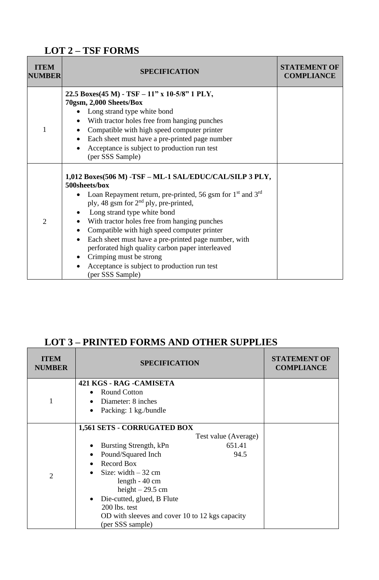#### **LOT 2 – TSF FORMS**

 $\mathbf{r}$ 

| <b>ITEM</b><br><b>NUMBER</b> | <b>SPECIFICATION</b>                                                                                                  | <b>STATEMENT OF</b><br><b>COMPLIANCE</b> |
|------------------------------|-----------------------------------------------------------------------------------------------------------------------|------------------------------------------|
|                              | 22.5 Boxes(45 M) - TSF - 11" x 10-5/8" 1 PLY,<br>70gsm, 2,000 Sheets/Box                                              |                                          |
|                              | Long strand type white bond                                                                                           |                                          |
|                              | With tractor holes free from hanging punches                                                                          |                                          |
| $\mathbf{1}$                 | Compatible with high speed computer printer<br>$\bullet$                                                              |                                          |
|                              | Each sheet must have a pre-printed page number<br>$\bullet$                                                           |                                          |
|                              | Acceptance is subject to production run test<br>$\bullet$                                                             |                                          |
|                              | (per SSS Sample)                                                                                                      |                                          |
|                              | 1,012 Boxes(506 M) -TSF - ML-1 SAL/EDUC/CAL/SILP 3 PLY,<br>500sheets/box                                              |                                          |
|                              | Loan Repayment return, pre-printed, 56 gsm for $1st$ and $3rd$                                                        |                                          |
|                              | ply, 48 gsm for $2nd$ ply, pre-printed,                                                                               |                                          |
|                              | Long strand type white bond                                                                                           |                                          |
| $\overline{2}$               | With tractor holes free from hanging punches<br>$\bullet$                                                             |                                          |
|                              | Compatible with high speed computer printer<br>$\bullet$                                                              |                                          |
|                              | Each sheet must have a pre-printed page number, with<br>$\bullet$<br>perforated high quality carbon paper interleaved |                                          |
|                              | Crimping must be strong<br>$\bullet$                                                                                  |                                          |
|                              | Acceptance is subject to production run test<br>$\bullet$                                                             |                                          |
|                              | (per SSS Sample)                                                                                                      |                                          |

#### **LOT 3 – PRINTED FORMS AND OTHER SUPPLIES**

| <b>ITEM</b><br><b>NUMBER</b> | <b>SPECIFICATION</b>                            |                      | <b>STATEMENT OF</b><br><b>COMPLIANCE</b> |
|------------------------------|-------------------------------------------------|----------------------|------------------------------------------|
|                              | 421 KGS - RAG - CAMISETA                        |                      |                                          |
|                              | <b>Round Cotton</b><br>$\bullet$                |                      |                                          |
| 1                            | Diameter: 8 inches                              |                      |                                          |
|                              | Packing: 1 kg./bundle<br>$\bullet$              |                      |                                          |
|                              | <b>1,561 SETS - CORRUGATED BOX</b>              |                      |                                          |
|                              |                                                 | Test value (Average) |                                          |
|                              | Bursting Strength, kPn                          | 651.41               |                                          |
|                              | Pound/Squared Inch<br>$\bullet$                 | 94.5                 |                                          |
|                              | Record Box<br>$\bullet$                         |                      |                                          |
| $\overline{2}$               | Size: width $-32$ cm<br>$\bullet$               |                      |                                          |
|                              | length $-40$ cm                                 |                      |                                          |
|                              | height $-29.5$ cm                               |                      |                                          |
|                              | Die-cutted, glued, B Flute<br>$\bullet$         |                      |                                          |
|                              | 200 lbs. test                                   |                      |                                          |
|                              | OD with sleeves and cover 10 to 12 kgs capacity |                      |                                          |
|                              | (per SSS sample)                                |                      |                                          |

 $\blacksquare$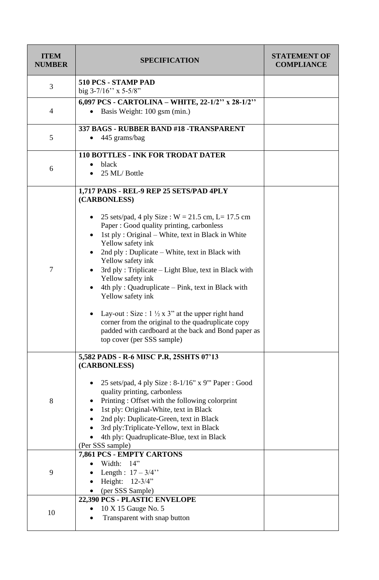| <b>ITEM</b><br><b>NUMBER</b> | <b>SPECIFICATION</b>                                                                                                                                                                                                                                                                                                                                                                                                                                                                                                                                                                                                                                                                  | <b>STATEMENT OF</b><br><b>COMPLIANCE</b> |
|------------------------------|---------------------------------------------------------------------------------------------------------------------------------------------------------------------------------------------------------------------------------------------------------------------------------------------------------------------------------------------------------------------------------------------------------------------------------------------------------------------------------------------------------------------------------------------------------------------------------------------------------------------------------------------------------------------------------------|------------------------------------------|
| 3                            | 510 PCS - STAMP PAD<br>big $3-7/16$ " x $5-5/8$ "                                                                                                                                                                                                                                                                                                                                                                                                                                                                                                                                                                                                                                     |                                          |
| 4                            | 6,097 PCS - CARTOLINA – WHITE, 22-1/2" x 28-1/2"<br>Basis Weight: 100 gsm (min.)                                                                                                                                                                                                                                                                                                                                                                                                                                                                                                                                                                                                      |                                          |
| 5                            | 337 BAGS - RUBBER BAND #18 -TRANSPARENT<br>445 grams/bag                                                                                                                                                                                                                                                                                                                                                                                                                                                                                                                                                                                                                              |                                          |
| 6                            | <b>110 BOTTLES - INK FOR TRODAT DATER</b><br>black<br>25 ML/Bottle                                                                                                                                                                                                                                                                                                                                                                                                                                                                                                                                                                                                                    |                                          |
| 7                            | 1,717 PADS - REL-9 REP 25 SETS/PAD 4PLY<br>(CARBONLESS)<br>25 sets/pad, 4 ply Size : $W = 21.5$ cm, L= 17.5 cm<br>Paper: Good quality printing, carbonless<br>1st ply : Original – White, text in Black in White<br>Yellow safety ink<br>2nd ply: Duplicate - White, text in Black with<br>Yellow safety ink<br>3rd ply: Triplicate - Light Blue, text in Black with<br>Yellow safety ink<br>4th ply: Quadruplicate – Pink, text in Black with<br>Yellow safety ink<br>Lay-out : Size : $1 \frac{1}{2} \times 3$ " at the upper right hand<br>corner from the original to the quadruplicate copy<br>padded with cardboard at the back and Bond paper as<br>top cover (per SSS sample) |                                          |
| 8                            | 5,582 PADS - R-6 MISC P.R, 25SHTS 07'13<br>(CARBONLESS)<br>25 sets/pad, 4 ply Size : 8-1/16" x 9"' Paper : Good<br>quality printing, carbonless<br>Printing: Offset with the following colorprint<br>1st ply: Original-White, text in Black<br>2nd ply: Duplicate-Green, text in Black<br>3rd ply:Triplicate-Yellow, text in Black<br>4th ply: Quadruplicate-Blue, text in Black<br>(Per SSS sample)<br>7,861 PCS - EMPTY CARTONS                                                                                                                                                                                                                                                     |                                          |
| 9                            | Width:<br>14"<br>Length: $17 - 3/4$ "<br>Height:<br>$12 - 3/4$ "<br>(per SSS Sample)                                                                                                                                                                                                                                                                                                                                                                                                                                                                                                                                                                                                  |                                          |
| 10                           | 22,390 PCS - PLASTIC ENVELOPE<br>10 X 15 Gauge No. 5<br>Transparent with snap button                                                                                                                                                                                                                                                                                                                                                                                                                                                                                                                                                                                                  |                                          |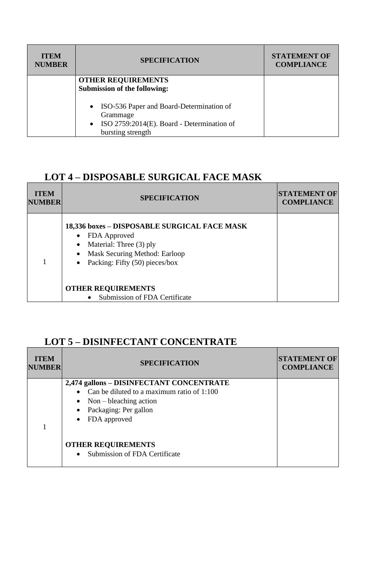| <b>ITEM</b><br><b>NUMBER</b> | <b>SPECIFICATION</b>                                                                                                        | <b>STATEMENT OF</b><br><b>COMPLIANCE</b> |
|------------------------------|-----------------------------------------------------------------------------------------------------------------------------|------------------------------------------|
|                              | <b>OTHER REQUIREMENTS</b><br><b>Submission of the following:</b>                                                            |                                          |
|                              | • ISO-536 Paper and Board-Determination of<br>Grammage<br>• ISO 2759:2014(E). Board - Determination of<br>bursting strength |                                          |

#### **LOT 4 – DISPOSABLE SURGICAL FACE MASK**

| <b>ITEM</b><br><b>NUMBER</b> | <b>SPECIFICATION</b>                                                                                                                                                                              | <b>STATEMENT OF</b><br><b>COMPLIANCE</b> |
|------------------------------|---------------------------------------------------------------------------------------------------------------------------------------------------------------------------------------------------|------------------------------------------|
|                              | 18,336 boxes - DISPOSABLE SURGICAL FACE MASK<br>FDA Approved<br>Material: Three (3) ply<br>$\bullet$<br>Mask Securing Method: Earloop<br>$\bullet$<br>Packing: Fifty (50) pieces/box<br>$\bullet$ |                                          |
|                              | <b>OTHER REQUIREMENTS</b>                                                                                                                                                                         |                                          |
|                              | Submission of FDA Certificate                                                                                                                                                                     |                                          |

#### **LOT 5 – DISINFECTANT CONCENTRATE**

| <b>ITEM</b><br><b>NUMBER</b> | <b>SPECIFICATION</b>                                       | <b>STATEMENT OF</b><br><b>COMPLIANCE</b> |
|------------------------------|------------------------------------------------------------|------------------------------------------|
|                              | 2,474 gallons - DISINFECTANT CONCENTRATE                   |                                          |
|                              | Can be diluted to a maximum ratio of 1:100                 |                                          |
|                              | Non – bleaching action                                     |                                          |
|                              | Packaging: Per gallon                                      |                                          |
|                              | FDA approved                                               |                                          |
|                              |                                                            |                                          |
|                              | <b>OTHER REQUIREMENTS</b><br>Submission of FDA Certificate |                                          |

٦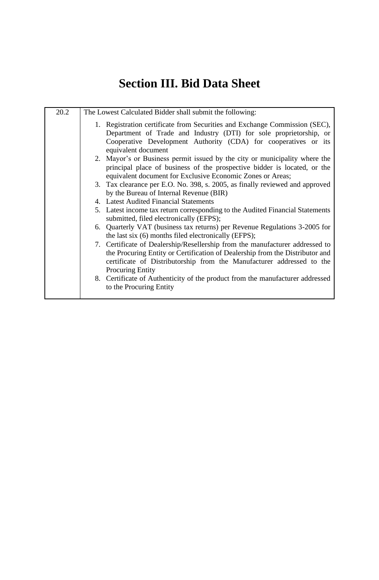## **Section III. Bid Data Sheet**

| 20.2 | The Lowest Calculated Bidder shall submit the following:                                                                                                                                                                                                         |  |
|------|------------------------------------------------------------------------------------------------------------------------------------------------------------------------------------------------------------------------------------------------------------------|--|
|      | 1. Registration certificate from Securities and Exchange Commission (SEC),<br>Department of Trade and Industry (DTI) for sole proprietorship, or<br>Cooperative Development Authority (CDA) for cooperatives or its<br>equivalent document                       |  |
|      | 2. Mayor's or Business permit issued by the city or municipality where the<br>principal place of business of the prospective bidder is located, or the<br>equivalent document for Exclusive Economic Zones or Areas;                                             |  |
|      | 3. Tax clearance per E.O. No. 398, s. 2005, as finally reviewed and approved<br>by the Bureau of Internal Revenue (BIR)                                                                                                                                          |  |
|      | 4. Latest Audited Financial Statements                                                                                                                                                                                                                           |  |
|      | 5. Latest income tax return corresponding to the Audited Financial Statements<br>submitted, filed electronically (EFPS);                                                                                                                                         |  |
|      | 6. Quarterly VAT (business tax returns) per Revenue Regulations 3-2005 for<br>the last six (6) months filed electronically (EFPS);                                                                                                                               |  |
|      | 7. Certificate of Dealership/Resellership from the manufacturer addressed to<br>the Procuring Entity or Certification of Dealership from the Distributor and<br>certificate of Distributorship from the Manufacturer addressed to the<br><b>Procuring Entity</b> |  |
|      | 8. Certificate of Authenticity of the product from the manufacturer addressed<br>to the Procuring Entity                                                                                                                                                         |  |